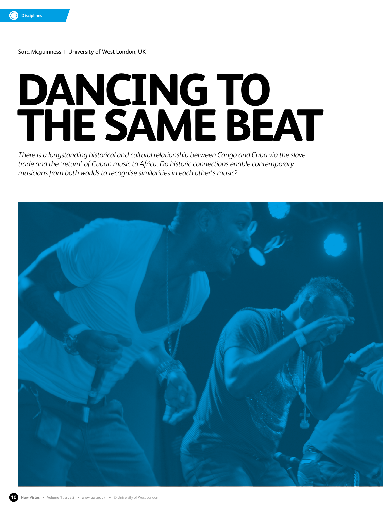Sara Mcguinness|University of West London, UK

# **DANCING TO THE SAME BEAT**

*There is a longstanding historical and cultural relationship between Congo and Cuba via the slave trade and the 'return' of Cuban music to Africa. Do historic connections enable contemporary musicians from both worlds to recognise similarities in each other's music?*

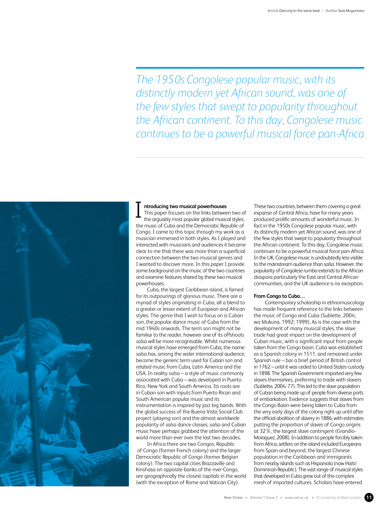*The 1950s Congolese popular music, with its distinctly modern yet African sound, was one of the few styles that swept to popularity throughout the African continent. To this day, Congolese music continues to be a powerful musical force pan-Africa*



### **ntroducing two musical powerhouses**

This paper focuses on the links between two of the arguably most popular global musical styles, the music of Cuba and the Democratic Republic of Congo. I came to this topic through my work as a musician immersed in both styles. As I played and interacted with musicians and audiences it became clear to me that there was more than a superficial connection between the two musical genres and I wanted to discover more. In this paper I provide some background on the music of the two countries and examine features shared by these two musical powerhouses. I

Cuba, the largest Caribbean island, is famed for its outpourings of glorious music. There are a myriad of styles originating in Cuba, all a blend to a greater or lesser extent of European and African styles. The genre that I wish to focus on is Cuban *son*, the popular dance music of Cuba from the mid 1940s onwards. The term *son* might not be familiar to the reader, however one of its offshoots *salsa* will be more recognisable. Whilst numerous musical styles have emerged from Cuba, the name *salsa* has, among the wider international audience, become the generic term used for Cuban *son* and related music from Cuba, Latin America and the USA. In reality *salsa* – a style of music commonly associated with Cuba – was developed in Puerto Rico, New York and South America. Its roots are in Cuban *son* with inputs from Puerto Rican and South American popular music and its instrumentation is inspired by jazz big bands. With the global success of the Buena Vista Social Club project (playing *son*) and the almost worldwide popularity of *salsa* dance classes, *salsa* and Cuban music have perhaps grabbed the attention of the world more than ever over the last two decades.

In Africa there are two Congos, Republic of Congo (former French colony) and the larger Democratic Republic of Congo (former Belgian colony). The two capital cities Brazzaville and Kinshasa on opposite banks of the river Congo, are geographically the closest capitals in the world (with the exception of Rome and Vatican City).

These two countries, between them covering a great expanse of Central Africa, have for many years produced prolific amounts of wonderful music. In fact in the 1950s Congolese popular music, with its distinctly modern yet African sound, was one of the few styles that swept to popularity throughout the African continent. To this day, Congolese music continues to be a powerful musical force pan-Africa. In the UK, Congolese music is undoubtedly less visible to the mainstream audience than *salsa*. However, the popularity of Congolese *rumba* extends to the African diaspora particularly the East and Central African communities, and the UK audience is no exception.

#### **From Congo to Cuba…**

Contemporary scholarship in ethnomusicology has made frequent reference to the links between the music of Congo and Cuba (Sublette, 2004; wa Mukuna, 1992; 1999). As is the case with the development of many musical styles, the slave trade had great impact on the development of Cuban music, with a significant input from people taken from the Congo basin. Cuba was established as a Spanish colony in 1511, and remained under Spanish rule – bar a brief period of British control in 1762 – until it was ceded to United-States custody in 1898. The Spanish Government imported very few slaves themselves, preferring to trade with slavers (Sublette, 2004: 77). This led to the slave population of Cuban being made up of people from diverse ports of embarkation. Evidence suggests that slaves from the Congo Basin were being taken to Cuba from the very early days of the colony right up until after the official abolition of slavery in 1886, with estimates putting the proportion of slaves of Congo origins at 32%, the largest slave contingent (Grandio-Moraguez, 2008). In addition to people forcibly taken from Africa, settlers on the island included Europeans from Spain and beyond, the largest Chinese population in the Caribbean and immigrants from nearby islands such as Hispaniola (now Haiti/ Dominican Republic). The vast range of musical styles that developed in Cuba grew out of this complex mesh of imported cultures. Scholars have entered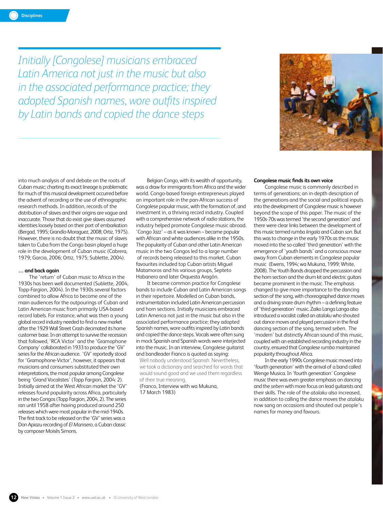*Initially [Congolese] musicians embraced Latin America not just in the music but also in the associated performance practice; they adopted Spanish names, wore outfits inspired by Latin bands and copied the dance steps*



into much analysis of and debate on the roots of Cuban music; charting its exact lineage is problematic for much of this musical development occurred before the advent of recording or the use of ethnographic research methods. In addition, records of the distribution of slaves and their origins are vague and inaccurate. Those that do exist give slaves assumed identities loosely based on their port of embarkation (Bergad, 1995; Grandío-Moraguez, 2008; Ortiz, 1975). However, there is no doubt that the music of slaves taken to Cuba from the Congo basin played a huge role in the development of Cuban music (Cabrera, 1979; Garcia, 2006; Ortiz, 1975; Sublette, 2004).

#### **… and back again**

The 'return' of Cuban music to Africa in the 1930s has been well documented (Sublette, 2004, Topp-Fargion, 2004). In the 1930s several factors combined to allow Africa to become one of the main audiences for the outpourings of Cuban and Latin American music from primarily USA-based record labels. For instance, what was then a young global record industry needed to find a new market after the 1929 Wall Street Crash decimated its home customer base. In an attempt to survive the recession that followed, 'RCA Victor' and the 'Gramophone Company' collaborated in 1933 to produce the 'GV' series for the African audience. 'GV' reportedly stood for 'Gramophone-Victor', however, it appears that musicians and consumers substituted their own interpretations, the most popular among Congolese being 'Grand Vocalistes' (Topp Fargion, 2004: 2). Initially aimed at the West African market the 'GV' releases found popularity across Africa, particularly in the two Congos (Topp Fargion, 2004, 2). The series ran until 1958 after having produced around 250 releases which were most popular in the mid-1940s. The first track to be released on the 'GV' series was a Don Apiazu recording of *El Manisero*, a Cuban classic by composer Moisés Simons.

Belgian Congo, with its wealth of opportunity, was a draw for immigrants from Africa and the wider world. Congo-based foreign entrepreneurs played an important role in the pan-African success of Congolese popular music, with the formation of, and investment in, a thriving record industry. Coupled with a comprehensive network of radio stations, the industry helped promote Congolese music abroad. 'Congo Jazz' – as it was known – became popular with African and white audiences alike in the 1950s. The popularity of Cuban and other Latin American music in the two Congos led to a large number of records being released to this market. Cuban favourites included top Cuban artists Miguel Matamoros and his various groups, Septeto Habanero and later Orquesta Aragón.

It became common practice for Congolese bands to include Cuban and Latin American songs in their repertoire. Modelled on Cuban bands, instrumentation included Latin American percussion and horn sections. Initially musicians embraced Latin America not just in the music but also in the associated performance practice; they adopted Spanish names, wore outfits inspired by Latin bands and copied the dance steps. Vocals were often sung in mock Spanish and Spanish words were interjected into the music. In an interview, Congolese guitarist and bandleader Franco is quoted as saying:

Well nobody understood Spanish. Nevertheless, we took a dictionary and searched for words that would sound good and we used them regardless of their true meaning.

(Franco, Interview with wa Mukuna, 17 March 1983)

# **Congolese music finds its own voice**

Congolese music is commonly described in terms of generations; an in-depth description of the generations and the social and political inputs into the development of Congolese music is however beyond the scope of this paper. The music of the 1950s-70s was termed 'the second generation' and there were clear links between the development of this music termed *rumba lingala* and Cuban *son*. But this was to change in the early 1970s as the music moved into the so-called 'third generation' with the emergence of 'youth bands' and a conscious move away from Cuban elements in Congolese popular music (Ewens, 1994; wa Mukuna, 1999; White, 2008). The Youth Bands dropped the percussion and the horn section and the drum kit and electric guitars became prominent in the music. The emphasis changed to give more importance to the dancing section of the song, with choreographed dance moves and a driving snare drum rhythm – a defining feature of 'third generation' music. Zaiko Langa Langa also introduced a vocalist called an *atalaku* who shouted out dance moves and played percussion in the final dancing section of the song, termed *seben*. The 'modern' but distinctly African sound of this music, coupled with an established recording industry in the country, ensured that Congolese *rumba* maintained popularity throughout Africa.

In the early 1990s Congolese music moved into 'fourth generation' with the arrival of a band called Wenge Musica. In 'fourth generation' Congolese music there was even greater emphasis on dancing and the *seben* with more focus on lead guitarists and their skills. The role of the *atalaku* also increased, in addition to calling the dance moves the *atalaku* now sang on occasions and shouted out people's names for money and favours.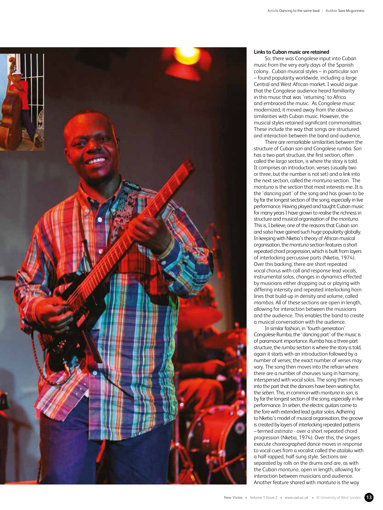

## **Links to Cuban music are retained**

So, there was Congolese input into Cuban music from the very early days of the Spanish colony. Cuban musical styles – in particular *son* – found popularity worldwide, including a large Central and West African market. I would argue that the Congolese audience heard familiarity in this music that was 'returning' to Africa and embraced the music. As Congolese music modernized, it moved away from the obvious similarities with Cuban music. However, the musical styles retained significant commonalities. These include the way that songs are structured and interaction between the band and audience.

There are remarkable similarities between the structure of Cuban *son* and Congolese *rumba*. *Son* has a two-part structure, the first section, often called the *largo* section, is where the story is told. It comprises an introduction, verses (usually two or three, but the number is not set) and a link into the next section, called the *montuno* section. The *montuno* is the section that most interests me. It is the 'dancing part' of the song and has grown to be by far the longest section of the song, especially in live performance. Having played and taught Cuban music for many years I have grown to realise the richness in structure and musical organisation of the *montuno*. This is, I believe, one of the reasons that Cuban *son* and *salsa* have gained such huge popularity globally. In keeping with Nketia's theory of African musical organisation, the *montuno* section features a short repeated chord progression, which is built from layers of interlocking percussive parts (Nketia, 1974). Over this backing, there are short repeated vocal chorus with call and response lead vocals, instrumental solos, changes in dynamics effected by musicians either dropping out or playing with differing intensity and repeated interlocking horn lines that build-up in density and volume, called *mambos*. All of these sections are open in length, allowing for interaction between the musicians and the audience. This enables the band to create a musical conversation with the audience.

In similar fashion, in 'fourth generation' Congolese Rumba, the 'dancing part' of the music is of paramount importance. *Rumba* has a three-part structure, the *rumba* section is where the story is told, again it starts with an introduction followed by a number of verses; the exact number of verses may vary. The song then moves into the refrain where there are a number of choruses sung in harmony, interspersed with vocal solos. The song then moves into the part that the dancers have been waiting for, the *seben*. This, in common with *montuno* in *son*, is by far the longest section of the song, especially in live performance. In *seben*, the electric guitars come to the fore with extended lead guitar solos. Adhering to Nketia's model of musical organisation, the groove is created by layers of interlocking repeated patterns – termed *ostinato* - over a short repeated chord progression (Nketia, 1974). Over this, the singers execute choreographed dance moves in response to vocal cues from a vocalist called the *atalaku* with a half-rapped, half-sung style. Sections are separated by rolls on the drums and are, as with the Cuban *montuno*, open in length, allowing for interaction between musicians and audience. Another feature shared with *montuno* is the way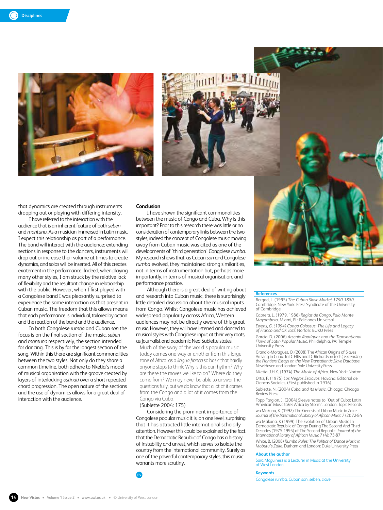



that dynamics are created through instruments dropping out or playing with differing intensity.

I have referred to the interaction with the audience that is an inherent feature of both *seben* and *montuno*. As a musician immersed in Latin music, I expect this relationship as part of a performance. The band will interact with the audience: extending sections in response to the dancers, instruments will drop out or increase their volume at times to create dynamics, and solos will be inserted. All of this creates excitement in the performance. Indeed, when playing many other styles, I am struck by the relative lack of flexibility and the resultant change in relationship with the public. However, when I first played with a Congolese band I was pleasantly surprised to experience the same interaction as that present in Cuban music. The freedom that this allows means that each performance is individual, tailored by action and the reaction of the band and the audience.

In both Congolese *rumba* and Cuban *son* the focus is on the final section of the music, *seben* and *montuno* respectively, the section intended for dancing. This is by far the longest section of the song. Within this there are significant commonalities between the two styles. Not only do they share a common timeline, both adhere to Nketia's model of musical organisation with the groove created by layers of interlocking *ostinati* over a short repeated chord progression. The open nature of the sections and the use of dynamics allows for a great deal of interaction with the audience.

#### **Conclusion**

I have shown the significant commonalities between the music of Congo and Cuba. Why is this important? Prior to this research there was little or no consideration of contemporary links between the two styles, indeed the concept of Congolese music moving away from Cuban music was cited as one of the developments of 'third generation' Congolese *rumba*. My research shows that, as Cuban *son* and Congolese *rumba* evolved, they maintained strong similarities, not in terms of instrumentation but, perhaps more importantly, in terms of musical organisation, and performance practice.

Although there is a great deal of writing about and research into Cuban music, there is surprisingly little detailed discussion about the musical inputs from Congo. Whilst Congolese music has achieved widespread popularity across Africa, Western audiences may not be directly aware of this great music. However, they will have listened and danced to musical styles with Congolese input at their very roots, as journalist and academic Ned Sublette states:

Much of the sway of the world's popular music today comes one way or another from this large zone of Africa, as a *lingua franca* so basic that hardly anyone stops to think: Why is this our rhythm? Why are these the moves we like to do? Where do they come from? We may never be able to answer the questions fully, but we do know that a lot of it comes from the Congo and a lot of it comes from the Congo via Cuba.

#### (Sublette 2004: 175)

Considering the prominent importance of Congolese popular music it is, on one level, surprising that it has attracted little international scholarly attention. However this could be explained by the fact that the Democratic Republic of Congo has a history of instability and unrest, which serves to isolate the country from the international community. Surely as one of the powerful contemporary styles, this music warrants more scrutiny.



#### **References**

Bergad, L. (1995) *The Cuban Slave Market 1790-1880*. Cambridge, New York: Press Syndicate of the University of Cambridge

Cabrera, L. (1979, 1986) *Reglas de Congo, Palo Monte Mayombero*. Miami, FL: Ediciones Universal

*Ewens, G. (1994) Congo Colossus: The Life and Legacy of Franco and OK Jazz*. Norfolk: BUKU Press

Garcia, D. (2006) *Arsenio Rodríguez and the Transnational Flows of Latin Popular Music*. Philidelphia, PA: Temple University Press

Grandío-Moraguez, O. (2008) The African Origins of Slaves Arriving in Cuba. In D. Eltis and D. Richardson (eds.) *Extending the Frontiers: Essays on the New Transatlantic Slave Database*. New Haven and London: Yale University Press

Nketia, J.H.K. (1974) *The Music of Africa*. New York: Norton Ortiz, F. (1975) *Los Negros Esclavos*. Havana: Editorial de Ciencas Sociales. (First published in 1916)

Sublette, N. (2004) *Cuba and its Music*. Chicago: Chicago Review Press

Topp Fargion, J. (2004) Sleeve notes to 'Out of Cuba: Latin American Music takes Africa by Storm'. London: Topic Records

wa Makuna, K .(1992) The Genesis of Urban Music in Zaire. *Journal of the International Library of African Music 7* (2): 72-84 wa Makuna, K (1999) The Evolution of Urban Music In

Democratic Republic of Congo During The Second And Third Decades (1975-1995) of The Second Republic. *Journal of the International library of African Music 7* (4): 73-87

White, B. (2008) *Rumba Rules: The Politics of Dance Music in Mobutu's Zaire*. Durham and London: Duke University Press

### **About the author**

Sara Mcguiness is a Lecturer in Music at the University of West London

#### **Keywords**

Congolese rumba, Cuban son, seben, clave